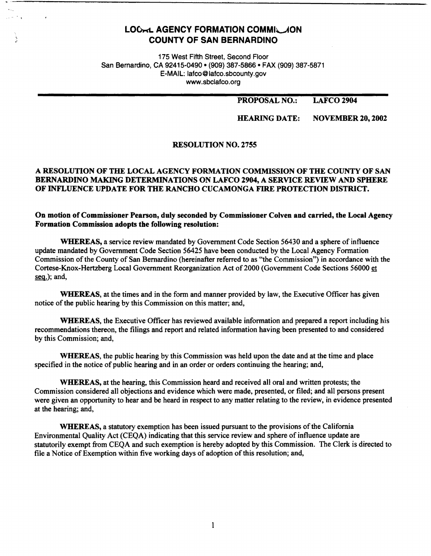# **LOC-LAGENCY FORMATION COMMIL JON COUNTY OF SAN BERNARDINO**

175 West Fifth Street, Second Floor San Bernardino, CA 92415-0490 • (909) 387-5866 • FAX (909) 387-5871 E-MAIL: lafco@lafco.sbcounty.gov www.sbclafco.org

### **PROPOSAL NO.: LAFC02904**

### **HEARING DATE: NOVEMBER 20, 2002**

# **RESOLUTION NO. 2755**

# **A RESOLUTION OF THE LOCAL AGENCY FORMATION COMMISSION OF THE COUNTY OF SAN BERNARDINO MAKING DETERMINATIONS ON LAFCO 2904, A SERVICE REVIEW AND SPHERE OF INFLUENCE UPDATE FOR THE RANCHO CUCAMONGA FIRE PROTECTION DISTRICT.**

# **On motion of Commissioner Pearson, duly seconded by Commissioner Colven and carried, the Local Agency Formation Commission adopts the following resolution:**

**WHEREAS,** a service review mandated by Government Code Section 56430 and a sphere of influence update mandated by Government Code Section 56425 have been conducted by the Local Agency Formation Commission of the County of San Bernardino (hereinafter referred to as "the Commission") in accordance with the Cortese-Knox-Hertzberg Local Government Reorganization Act of2000 (Government Code Sections 56000 et  $seq.$ ); and,

**WHEREAS,** at the times and in the form and manner provided by law, the Executive Officer has given notice of the public hearing by this Commission on this matter; and,

**WHEREAS,** the Executive Officer has reviewed available information and prepared a report including his recommendations thereon, the filings and report and related information having been presented to and considered by this Commission; and,

**WHEREAS,** the public hearing by this Commission was held upon the date and at the time and place specified in the notice of public hearing and in an order or orders continuing the hearing; and,

**WHEREAS,** at the hearing, this Commission heard and received all oral and written protests; the Commission considered all objections and evidence which were made, presented, or filed; and all persons present were given an opportunity to hear and be heard in respect to any matter relating to the review, in evidence presented at the hearing; and,

**WHEREAS,** a statutory exemption has been issued pursuant to the provisions of the California Environmental Quality Act (CEQA) indicating that this service review and sphere of influence update are statutorily exempt from CEQA and such exemption is hereby adopted by this Commission. The Clerk is directed to file a Notice of Exemption within five working days of adoption of this resolution; and,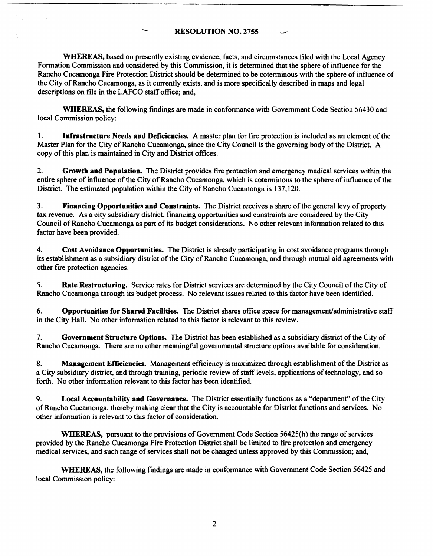### **RESOLUTION NO. 2755** -

**WHEREAS,** based on presently existing evidence, facts, and circumstances filed with the Local Agency Formation Commission and considered by this Commission, it is determined that the sphere of influence for the Rancho Cucamonga Fire Protection District should be determined to be coterminous with the sphere of influence of the City of Rancho Cucamonga, as it currently exists, and is more specifically described in maps and legal descriptions on file in the LAFCO staff office; and,

**WHEREAS,** the following findings are made in conformance with Government Code Section 56430 and local Commission policy:

1. **Infrastructure Needs and Deficiencies.** A master plan for fire protection is included as an element of the Master Plan for the City of Rancho Cucamonga, since the City Council is the governing body of the District. A copy of this plan is maintained in City and District offices.

2. **Growth and Population.** The District provides fire protection and emergency medical services within the entire sphere of influence of the City of Rancho Cucamonga, which is coterminous to the sphere of influence of the District. The estimated population within the City of Rancho Cucamonga is 137,120.

3. **Financing Opportunities and Constraints.** The District receives a share of the general levy of property tax revenue. As a city subsidiary district, financing opportunities and constraints are considered by the City Council of Rancho Cucamonga as part of its budget considerations. No other relevant information related to this factor have been provided.

4. **Cost Avoidance Opportunities.** The District is already participating in cost avoidance programs through its establishment as a subsidiary district of the City of Rancho Cucamonga, and through mutual aid agreements with other fire protection agencies.

5. **Rate Restructuring.** Service rates for District services are determined by the City Council of the City of Rancho Cucamonga through its budget process. No relevant issues related to this factor have been identified.

6. **Opportunities for Shared Facilities.** The District shares office space for management/administrative staff in the City Hall. No other information related to this factor is relevant to this review.

7. **Government Structure Options.** The District has been established as a subsidiary district of the City of Rancho Cucamonga. There are no other meaningful governmental structure options available for consideration.

**8. Management Efficiencies.** Management efficiency is maximized through establishment of the District as a City subsidiary district, and through training, periodic review of staff levels, applications of technology. and so forth. No other information relevant to this factor has been identified.

9. **Local Accountability and Governance.** The District essentially functions as a "department" of the City of Rancho Cucamonga, thereby making clear that the City is accountable for District functions and services. No other information is relevant to this factor of consideration.

**WHEREAS,** pursuant to the provisions of Government Code Section 56425(h) the range of services provided by the Rancho Cucamonga Fire Protection District shall be limited to fire protection and emergency medical services, and such range of services shall not be changed unless approved by this Commission; and,

**WHEREAS,** the following findings are made in conformance with Government Code Section 56425 and local Commission policy: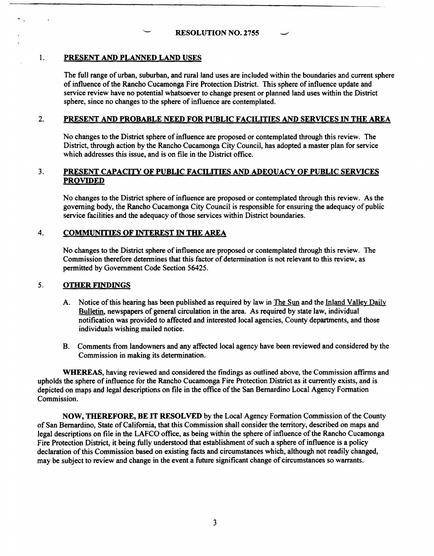# I. **PRESENT AND PLANNED LAND USES**

The full range of urban, suburban, and rural land uses are included within the boundaries and current sphere of influence of the Rancho Cucamonga Fire Protection District. This sphere of influence update and service review have no potential whatsoever to change present or planned land uses within the District sphere, since no changes to the sphere of influence are contemplated.

# 2. **PRESENT AND PROBABLE NEED FOR PUBLIC FACILITIES AND SERVICES** IN **THE AREA**

No changes to the District sphere of influence are proposed or contemplated through this review. The District, through action by the Rancho Cucamonga City Council, has adopted a master plan for service which addresses this issue, and is on file in the District office.

# 3. **PRESENT CAPACITY OF PUBLIC FACILITIES AND ADEQUACY OF PUBLIC SERVICES PROVIDED**

No changes to the District sphere of influence are proposed or contemplated through this review. As the governing body, the Rancho Cucamonga City Council is responsible for ensuring the adequacy of public service facilities and the adequacy of those services within District boundaries.

# 4. **COMMUNITIES OF INTEREST** IN **THE AREA**

No changes to the District sphere of influence are proposed or contemplated through this review. The Commission therefore determines that this factor of determination is not relevant to this review, as permitted by Government Code Section 56425.

# 5. **OTHER FINDINGS**

- A. Notice of this hearing has been published as required by law in The Sun and the Inland Valley Daily Bulletin, newspapers of general circulation in the area. As required by state Jaw, individual notification was provided to affected and interested local agencies, County departments, and those individuals wishing mailed notice.
- B. Comments from landowners and any affected local agency have been reviewed and considered by the Commission in making its determination.

**WHEREAS,** having reviewed and considered the findings as outlined above, the Commission affirms and upholds the sphere of influence for the Rancho Cucamonga Fire Protection District as it currently exists, and is depicted on maps and legal descriptions on file in the office of the San Bernardino Local Agency Formation Commission.

**NOW, THEREFORE, BE IT RESOLVED** by the Local Agency Formation Commission of the County of San Bernardino, State of California, that this Commission shall consider the territory, described on maps and legal descriptions on file in the LAFCO office, as being within the sphere of influence of the Rancho Cucamonga Fire Protection District, it being fully understood that establishment of such a sphere of influence is a policy declaration of this Commission based on existing facts and circumstances which, although not readily changed, may be subject to review and change in the event a future significant change of circumstances so warrants.